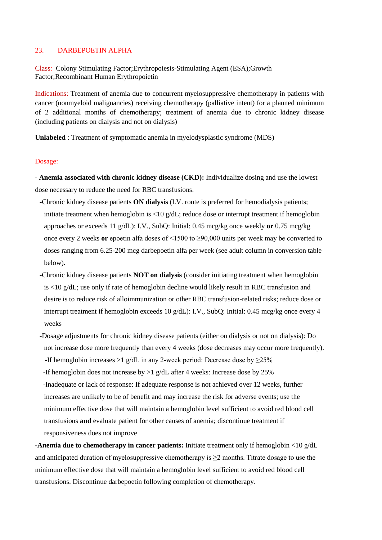## 23. DARBEPOETIN ALPHA

Class: Colony Stimulating Factor;Erythropoiesis-Stimulating Agent (ESA);Growth Factor;Recombinant Human Erythropoietin

Indications: Treatment of anemia due to concurrent myelosuppressive chemotherapy in patients with cancer (nonmyeloid malignancies) receiving chemotherapy (palliative intent) for a planned minimum of 2 additional months of chemotherapy; treatment of anemia due to chronic kidney disease (including patients on dialysis and not on dialysis)

**Unlabeled** : Treatment of symptomatic anemia in myelodysplastic syndrome (MDS)

## Dosage:

- **Anemia associated with chronic kidney disease (CKD):** Individualize dosing and use the lowest dose necessary to reduce the need for RBC transfusions.

- -Chronic kidney disease patients **ON dialysis** (I.V. route is preferred for hemodialysis patients; initiate treatment when hemoglobin is <10 g/dL; reduce dose or interrupt treatment if hemoglobin approaches or exceeds 11 g/dL): I.V., SubQ: Initial: 0.45 mcg/kg once weekly **or** 0.75 mcg/kg once every 2 weeks **or** epoetin alfa doses of <1500 to ≥90,000 units per week may be converted to doses ranging from 6.25-200 mcg darbepoetin alfa per week (see adult column in conversion table below).
- -Chronic kidney disease patients **NOT on dialysis** (consider initiating treatment when hemoglobin is <10 g/dL; use only if rate of hemoglobin decline would likely result in RBC transfusion and desire is to reduce risk of alloimmunization or other RBC transfusion-related risks; reduce dose or interrupt treatment if hemoglobin exceeds 10 g/dL): I.V., SubQ: Initial: 0.45 mcg/kg once every 4 weeks
- -Dosage adjustments for chronic kidney disease patients (either on dialysis or not on dialysis): Do not increase dose more frequently than every 4 weeks (dose decreases may occur more frequently). -If hemoglobin increases >1 g/dL in any 2-week period: Decrease dose by  $\geq$ 25%

-If hemoglobin does not increase by  $>1$  g/dL after 4 weeks: Increase dose by 25% -Inadequate or lack of response: If adequate response is not achieved over 12 weeks, further increases are unlikely to be of benefit and may increase the risk for adverse events; use the minimum effective dose that will maintain a hemoglobin level sufficient to avoid red blood cell transfusions **and** evaluate patient for other causes of anemia; discontinue treatment if responsiveness does not improve

**-Anemia due to chemotherapy in cancer patients:** Initiate treatment only if hemoglobin <10 g/dL and anticipated duration of myelosuppressive chemotherapy is  $\geq 2$  months. Titrate dosage to use the minimum effective dose that will maintain a hemoglobin level sufficient to avoid red blood cell transfusions. Discontinue darbepoetin following completion of chemotherapy.